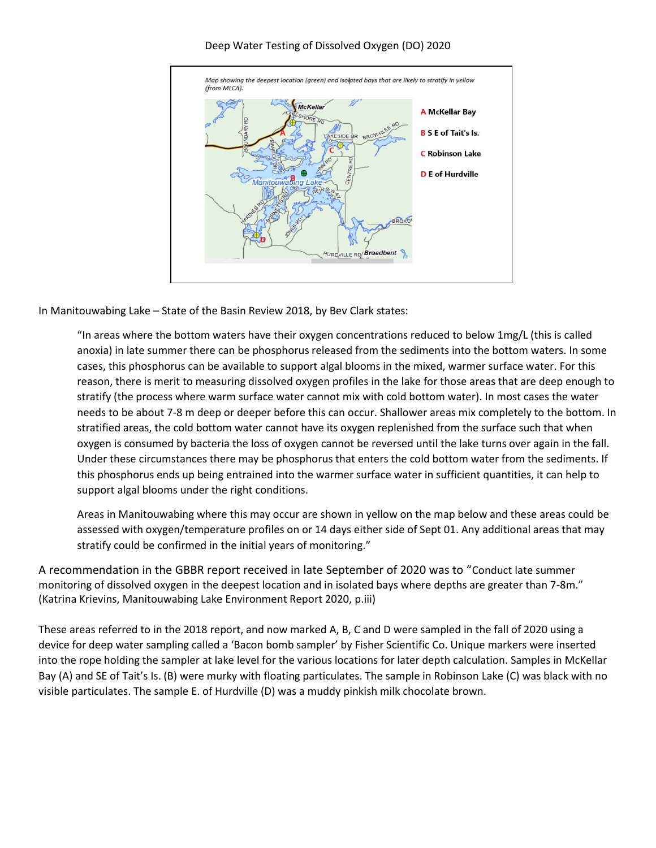

## Deep Water Testing of Dissolved Oxygen (DO) 2020

In Manitouwabing Lake – State of the Basin Review 2018, by Bev Clark states:

"In areas where the bottom waters have their oxygen concentrations reduced to below 1mg/L (this is called anoxia) in late summer there can be phosphorus released from the sediments into the bottom waters. In some cases, this phosphorus can be available to support algal blooms in the mixed, warmer surface water. For this reason, there is merit to measuring dissolved oxygen profiles in the lake for those areas that are deep enough to stratify (the process where warm surface water cannot mix with cold bottom water). In most cases the water needs to be about 7-8 m deep or deeper before this can occur. Shallower areas mix completely to the bottom. In stratified areas, the cold bottom water cannot have its oxygen replenished from the surface such that when oxygen is consumed by bacteria the loss of oxygen cannot be reversed until the lake turns over again in the fall. Under these circumstances there may be phosphorus that enters the cold bottom water from the sediments. If this phosphorus ends up being entrained into the warmer surface water in sufficient quantities, it can help to support algal blooms under the right conditions.

Areas in Manitouwabing where this may occur are shown in yellow on the map below and these areas could be assessed with oxygen/temperature profiles on or 14 days either side of Sept 01. Any additional areas that may stratify could be confirmed in the initial years of monitoring."

A recommendation in the GBBR report received in late September of 2020 was to "Conduct late summer monitoring of dissolved oxygen in the deepest location and in isolated bays where depths are greater than 7-8m." (Katrina Krievins, Manitouwabing Lake Environment Report 2020, p.iii)

These areas referred to in the 2018 report, and now marked A, B, C and D were sampled in the fall of 2020 using a device for deep water sampling called a 'Bacon bomb sampler' by Fisher Scientific Co. Unique markers were inserted into the rope holding the sampler at lake level for the various locations for later depth calculation. Samples in McKellar Bay (A) and SE of Tait's Is. (B) were murky with floating particulates. The sample in Robinson Lake (C) was black with no visible particulates. The sample E. of Hurdville (D) was a muddy pinkish milk chocolate brown.